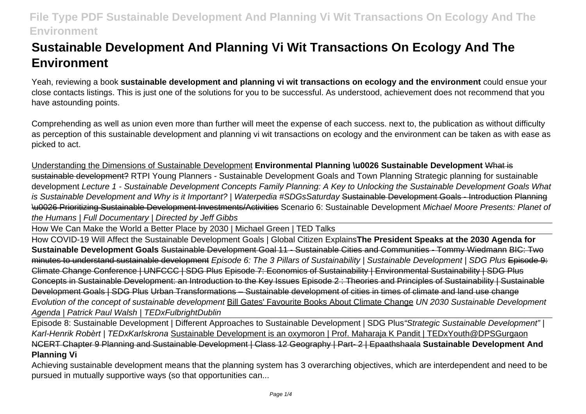# **Sustainable Development And Planning Vi Wit Transactions On Ecology And The Environment**

Yeah, reviewing a book **sustainable development and planning vi wit transactions on ecology and the environment** could ensue your close contacts listings. This is just one of the solutions for you to be successful. As understood, achievement does not recommend that you have astounding points.

Comprehending as well as union even more than further will meet the expense of each success. next to, the publication as without difficulty as perception of this sustainable development and planning vi wit transactions on ecology and the environment can be taken as with ease as picked to act.

Understanding the Dimensions of Sustainable Development **Environmental Planning \u0026 Sustainable Development** What is sustainable development? RTPI Young Planners - Sustainable Development Goals and Town Planning Strategic planning for sustainable development Lecture 1 - Sustainable Development Concepts Family Planning: A Key to Unlocking the Sustainable Development Goals What is Sustainable Development and Why is it Important? | Waterpedia #SDGsSaturday Sustainable Development Goals - Introduction Planning \u0026 Prioritizing Sustainable Development Investments/Activities Scenario 6: Sustainable Development Michael Moore Presents: Planet of the Humans | Full Documentary | Directed by Jeff Gibbs

How We Can Make the World a Better Place by 2030 | Michael Green | TED Talks

How COVID-19 Will Affect the Sustainable Development Goals | Global Citizen Explains**The President Speaks at the 2030 Agenda for Sustainable Development Goals** Sustainable Development Goal 11 - Sustainable Cities and Communities - Tommy Wiedmann BIC: Two minutes to understand sustainable development Episode 6: The 3 Pillars of Sustainability | Sustainable Development | SDG Plus Episode 9: Climate Change Conference | UNFCCC | SDG Plus Episode 7: Economics of Sustainability | Environmental Sustainability | SDG Plus Concepts in Sustainable Development: an Introduction to the Key Issues Episode 2 : Theories and Principles of Sustainability | Sustainable Development Goals | SDG Plus Urban Transformations – Sustainable development of cities in times of climate and land use change Evolution of the concept of sustainable development Bill Gates' Favourite Books About Climate Change UN 2030 Sustainable Development Agenda | Patrick Paul Walsh | TEDxFulbrightDublin

Episode 8: Sustainable Development | Different Approaches to Sustainable Development | SDG Plus"Strategic Sustainable Development" | Karl-Henrik Robèrt | TEDxKarlskrona Sustainable Development is an oxymoron | Prof. Maharaja K Pandit | TEDxYouth@DPSGurgaon NCERT Chapter 9 Planning and Sustainable Development | Class 12 Geography | Part- 2 | Epaathshaala **Sustainable Development And Planning Vi**

Achieving sustainable development means that the planning system has 3 overarching objectives, which are interdependent and need to be pursued in mutually supportive ways (so that opportunities can...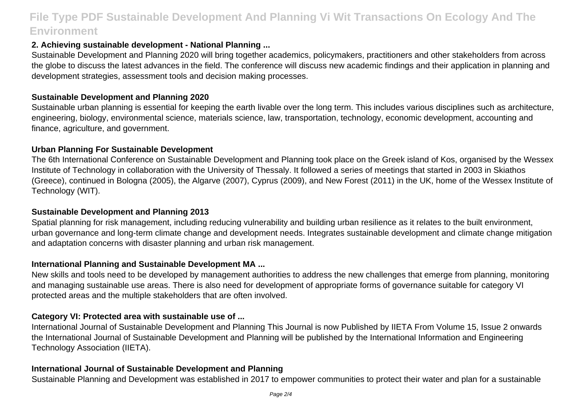## **2. Achieving sustainable development - National Planning ...**

Sustainable Development and Planning 2020 will bring together academics, policymakers, practitioners and other stakeholders from across the globe to discuss the latest advances in the field. The conference will discuss new academic findings and their application in planning and development strategies, assessment tools and decision making processes.

### **Sustainable Development and Planning 2020**

Sustainable urban planning is essential for keeping the earth livable over the long term. This includes various disciplines such as architecture, engineering, biology, environmental science, materials science, law, transportation, technology, economic development, accounting and finance, agriculture, and government.

### **Urban Planning For Sustainable Development**

The 6th International Conference on Sustainable Development and Planning took place on the Greek island of Kos, organised by the Wessex Institute of Technology in collaboration with the University of Thessaly. It followed a series of meetings that started in 2003 in Skiathos (Greece), continued in Bologna (2005), the Algarve (2007), Cyprus (2009), and New Forest (2011) in the UK, home of the Wessex Institute of Technology (WIT).

## **Sustainable Development and Planning 2013**

Spatial planning for risk management, including reducing vulnerability and building urban resilience as it relates to the built environment, urban governance and long-term climate change and development needs. Integrates sustainable development and climate change mitigation and adaptation concerns with disaster planning and urban risk management.

## **International Planning and Sustainable Development MA ...**

New skills and tools need to be developed by management authorities to address the new challenges that emerge from planning, monitoring and managing sustainable use areas. There is also need for development of appropriate forms of governance suitable for category VI protected areas and the multiple stakeholders that are often involved.

## **Category VI: Protected area with sustainable use of ...**

International Journal of Sustainable Development and Planning This Journal is now Published by IIETA From Volume 15, Issue 2 onwards the International Journal of Sustainable Development and Planning will be published by the International Information and Engineering Technology Association (IIETA).

## **International Journal of Sustainable Development and Planning**

Sustainable Planning and Development was established in 2017 to empower communities to protect their water and plan for a sustainable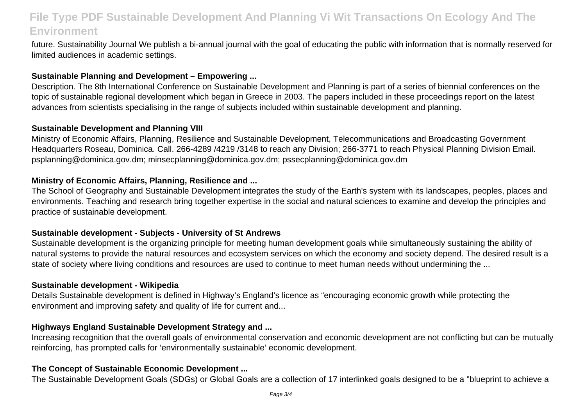future. Sustainability Journal We publish a bi-annual journal with the goal of educating the public with information that is normally reserved for limited audiences in academic settings.

#### **Sustainable Planning and Development – Empowering ...**

Description. The 8th International Conference on Sustainable Development and Planning is part of a series of biennial conferences on the topic of sustainable regional development which began in Greece in 2003. The papers included in these proceedings report on the latest advances from scientists specialising in the range of subjects included within sustainable development and planning.

#### **Sustainable Development and Planning VIII**

Ministry of Economic Affairs, Planning, Resilience and Sustainable Development, Telecommunications and Broadcasting Government Headquarters Roseau, Dominica. Call. 266-4289 /4219 /3148 to reach any Division; 266-3771 to reach Physical Planning Division Email. psplanning@dominica.gov.dm; minsecplanning@dominica.gov.dm; pssecplanning@dominica.gov.dm

#### **Ministry of Economic Affairs, Planning, Resilience and ...**

The School of Geography and Sustainable Development integrates the study of the Earth's system with its landscapes, peoples, places and environments. Teaching and research bring together expertise in the social and natural sciences to examine and develop the principles and practice of sustainable development.

#### **Sustainable development - Subjects - University of St Andrews**

Sustainable development is the organizing principle for meeting human development goals while simultaneously sustaining the ability of natural systems to provide the natural resources and ecosystem services on which the economy and society depend. The desired result is a state of society where living conditions and resources are used to continue to meet human needs without undermining the ...

#### **Sustainable development - Wikipedia**

Details Sustainable development is defined in Highway's England's licence as "encouraging economic growth while protecting the environment and improving safety and quality of life for current and...

#### **Highways England Sustainable Development Strategy and ...**

Increasing recognition that the overall goals of environmental conservation and economic development are not conflicting but can be mutually reinforcing, has prompted calls for 'environmentally sustainable' economic development.

#### **The Concept of Sustainable Economic Development ...**

The Sustainable Development Goals (SDGs) or Global Goals are a collection of 17 interlinked goals designed to be a "blueprint to achieve a